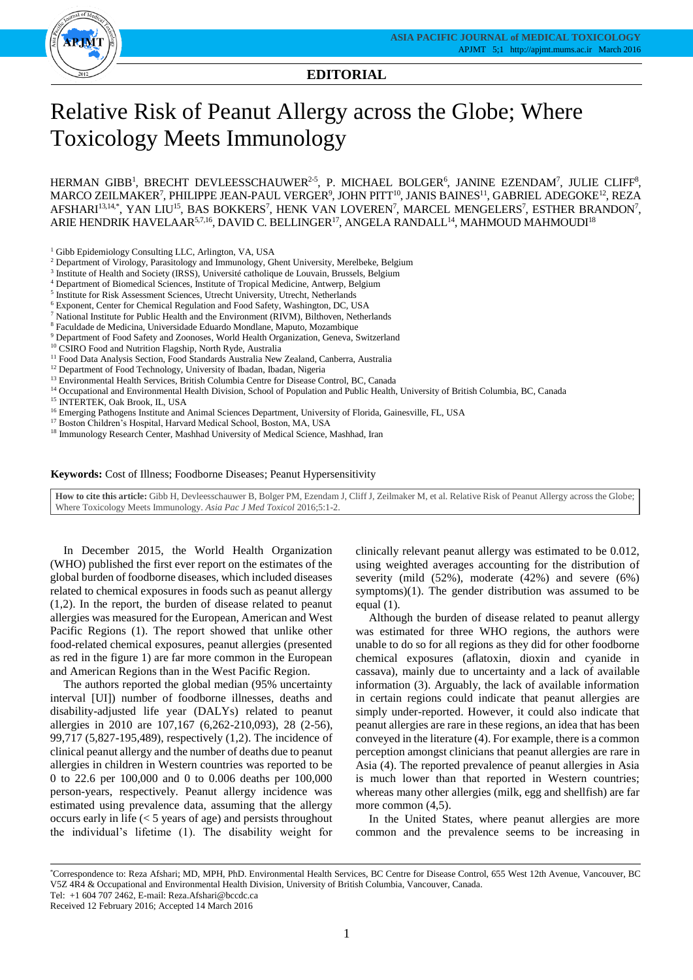

**EDITORIAL**

# Relative Risk of Peanut Allergy across the Globe; Where Toxicology Meets Immunology

HERMAN GIBB<sup>1</sup>, BRECHT DEVLEESSCHAUWER<sup>2-5</sup>, P. MICHAEL BOLGER<sup>6</sup>, JANINE EZENDAM<sup>7</sup>, JULIE CLIFF<sup>8</sup>,  $\rm MARCO\ ZELMAKER^7, PHILIPPE JEAN-PAUL\ VERGER^9, JOHN PITT^{10}, JANIS BAINES^{11}, GABRIEL\ ADEGOKE^{12}, REZA$ AFSHARI<sup>13,14</sup>\*, YAN LIU<sup>15</sup>, BAS BOKKERS<sup>7</sup>, HENK VAN LOVEREN<sup>7</sup>, MARCEL MENGELERS<sup>7</sup>, ESTHER BRANDON<sup>7</sup>, ARIE HENDRIK HAVELAAR $^{5,7,16},$  DAVID C. BELLINGER $^{17},$  ANGELA RANDALL $^{14},$  MAHMOUD MAHMOUDI $^{18}$ 

<sup>1</sup> Gibb Epidemiology Consulting LLC, Arlington, VA, USA

- <sup>2</sup> Department of Virology, Parasitology and Immunology, Ghent University, Merelbeke, Belgium
- <sup>3</sup> Institute of Health and Society (IRSS), Université catholique de Louvain, Brussels, Belgium
- <sup>4</sup> Department of Biomedical Sciences, Institute of Tropical Medicine, Antwerp, Belgium
- <sup>5</sup> Institute for Risk Assessment Sciences, Utrecht University, Utrecht, Netherlands
- <sup>6</sup> Exponent, Center for Chemical Regulation and Food Safety, Washington, DC, USA
- <sup>7</sup> National Institute for Public Health and the Environment (RIVM), Bilthoven, Netherlands
- <sup>8</sup> Faculdade de Medicina, Universidade Eduardo Mondlane, Maputo, Mozambique
- $^9$  Department of Food Safety and Zoonoses, World Health Organization, Geneva, Switzerland
- <sup>10</sup> CSIRO Food and Nutrition Flagship, North Ryde, Australia
- <sup>11</sup> Food Data Analysis Section, Food Standards Australia New Zealand, Canberra, Australia
- <sup>12</sup> Department of Food Technology, University of Ibadan, Ibadan, Nigeria
- <sup>13</sup> Environmental Health Services, British Columbia Centre for Disease Control, BC, Canada
- <sup>14</sup> Occupational and Environmental Health Division, School of Population and Public Health, University of British Columbia, BC, Canada
- <sup>15</sup> INTERTEK, Oak Brook, IL, USA
- <sup>16</sup> Emerging Pathogens Institute and Animal Sciences Department, University of Florida, Gainesville, FL, USA
- <sup>17</sup> Boston Children's Hospital, Harvard Medical School, Boston, MA, USA

<sup>18</sup> Immunology Research Center, Mashhad University of Medical Science, Mashhad, Iran

#### **Keywords:** Cost of Illness; Foodborne Diseases; Peanut Hypersensitivity

**How to cite this article:** Gibb H, Devleesschauwer B, Bolger PM, Ezendam J, Cliff J, Zeilmaker M, et al. Relative Risk of Peanut Allergy across the Globe; Where Toxicology Meets Immunology. *Asia Pac J Med Toxicol* 2016;5:1-2.

In December 2015, the World Health Organization (WHO) published the first ever report on the estimates of the global burden of foodborne diseases, which included diseases related to chemical exposures in foods such as peanut allergy (1,2). In the report, the burden of disease related to peanut allergies was measured for the European, American and West Pacific Regions (1). The report showed that unlike other food-related chemical exposures, peanut allergies (presented as red in the figure 1) are far more common in the European and American Regions than in the West Pacific Region.

The authors reported the global median (95% uncertainty interval [UI]) number of foodborne illnesses, deaths and disability-adjusted life year (DALYs) related to peanut allergies in 2010 are 107,167 (6,262-210,093), 28 (2-56), 99,717 (5,827-195,489), respectively (1,2). The incidence of clinical peanut allergy and the number of deaths due to peanut allergies in children in Western countries was reported to be 0 to 22.6 per 100,000 and 0 to 0.006 deaths per 100,000 person-years, respectively. Peanut allergy incidence was estimated using prevalence data, assuming that the allergy occurs early in life (< 5 years of age) and persists throughout the individual's lifetime (1). The disability weight for

clinically relevant peanut allergy was estimated to be 0.012, using weighted averages accounting for the distribution of severity (mild (52%), moderate (42%) and severe (6%) symptoms)(1). The gender distribution was assumed to be equal (1).

Although the burden of disease related to peanut allergy was estimated for three WHO regions, the authors were unable to do so for all regions as they did for other foodborne chemical exposures (aflatoxin, dioxin and cyanide in cassava), mainly due to uncertainty and a lack of available information (3). Arguably, the lack of available information in certain regions could indicate that peanut allergies are simply under-reported. However, it could also indicate that peanut allergies are rare in these regions, an idea that has been conveyed in the literature (4). For example, there is a common perception amongst clinicians that peanut allergies are rare in Asia (4). The reported prevalence of peanut allergies in Asia is much lower than that reported in Western countries; whereas many other allergies (milk, egg and shellfish) are far more common  $(4,5)$ .

In the United States, where peanut allergies are more common and the prevalence seems to be increasing in

Received 12 February 2016; Accepted 14 March 2016

<sup>\*</sup>Correspondence to: Reza Afshari; MD, MPH, PhD. Environmental Health Services, BC Centre for Disease Control, 655 West 12th Avenue, Vancouver, BC V5Z 4R4 & Occupational and Environmental Health Division, University of British Columbia, Vancouver, Canada. Tel: +1 604 707 2462, E-mail: Reza.Afshari@bccdc.ca